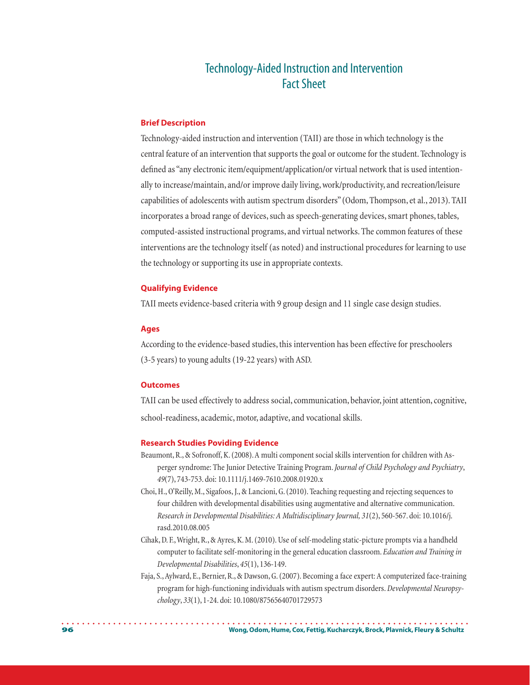# Technology-Aided Instruction and Intervention Fact Sheet

## **Brief Description**

Technology-aided instruction and intervention (TAII) are those in which technology is the central feature of an intervention that supports the goal or outcome for the student. Technology is defined as "any electronic item/equipment/application/or virtual network that is used intentionally to increase/maintain, and/or improve daily living, work/productivity, and recreation/leisure capabilities of adolescents with autism spectrum disorders" (Odom, Thompson, et al., 2013). TAII incorporates a broad range of devices, such as speech-generating devices, smart phones, tables, computed-assisted instructional programs, and virtual networks. The common features of these interventions are the technology itself (as noted) and instructional procedures for learning to use the technology or supporting its use in appropriate contexts.

## **Qualifying Evidence**

TAII meets evidence-based criteria with 9 group design and 11 single case design studies.

## **Ages**

According to the evidence-based studies, this intervention has been effective for preschoolers (3-5 years) to young adults (19-22 years) with ASD.

# **Outcomes**

TAII can be used effectively to address social, communication, behavior, joint attention, cognitive, school-readiness, academic, motor, adaptive, and vocational skills.

## **Research Studies Poviding Evidence**

- Beaumont, R., & Sofronoff, K. (2008). A multi component social skills intervention for children with Asperger syndrome: The Junior Detective Training Program. *Journal of Child Psychology and Psychiatry*, *49*(7), 743-753. doi: 10.1111/j.1469-7610.2008.01920.x
- Choi, H., O'Reilly, M., Sigafoos, J., & Lancioni, G. (2010). Teaching requesting and rejecting sequences to four children with developmental disabilities using augmentative and alternative communication. *Research in Developmental Disabilities: A Multidisciplinary Journal, 31*(2), 560-567. doi: [10.1016/j.](10.1016/j.rasd) [rasd](10.1016/j.rasd).2010.08.005
- Cihak, D. F., Wright, R., & Ayres, K. M. (2010). Use of self-modeling static-picture prompts via a handheld computer to facilitate self-monitoring in the general education classroom. *Education and Training in Developmental Disabilities*, *45*(1), 136-149.
- Faja, S., Aylward, E., Bernier, R., & Dawson, G. (2007). Becoming a face expert: A computerized face-training program for high-functioning individuals with autism spectrum disorders. *Developmental Neuropsychology*, *33*(1), 1-24. doi: 10.1080/87565640701729573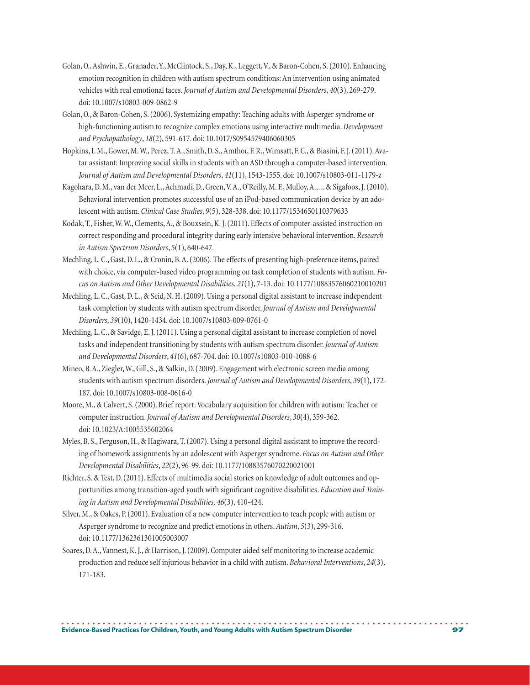- Golan, O., Ashwin, E., Granader, Y., McClintock, S., Day, K., Leggett, V., & Baron-Cohen, S. (2010). Enhancing emotion recognition in children with autism spectrum conditions: An intervention using animated vehicles with real emotional faces. *Journal of Autism and Developmental Disorders*, *40*(3), 269-279. doi: 10.1007/s10803-009-0862-9
- Golan, O., & Baron-Cohen, S. (2006). Systemizing empathy: Teaching adults with Asperger syndrome or high-functioning autism to recognize complex emotions using interactive multimedia. *Development and Psychopathology*, *18*(2), 591-617. doi: 10.1017/S0954579406060305
- Hopkins, I. M., Gower, M. W., Perez, T. A., Smith, D. S., Amthor, F. R., Wimsatt, F. C., & Biasini, F. J. (2011). Avatar assistant: Improving social skills in students with an ASD through a computer-based intervention. *Journal of Autism and Developmental Disorders*, *41*(11), 1543-1555. doi: 10.1007/s10803-011-1179-z
- Kagohara, D. M., van der Meer, L., Achmadi, D., Green, V. A., O'Reilly, M. F., Mulloy, A., ... & Sigafoos, J. (2010). Behavioral intervention promotes successful use of an iPod-based communication device by an adolescent with autism. *Clinical Case Studies*, *9*(5), 328-338. doi: 10.1177/1534650110379633
- Kodak, T., Fisher, W. W., Clements, A., & Bouxsein, K. J. (2011). Effects of computer-assisted instruction on correct responding and procedural integrity during early intensive behavioral intervention. *Research in Autism Spectrum Disorders*, *5*(1), 640-647.
- Mechling, L. C., Gast, D. L., & Cronin, B. A. (2006). The effects of presenting high-preference items, paired with choice, via computer-based video programming on task completion of students with autism. *Focus on Autism and Other Developmental Disabilities*, *21*(1), 7-13. doi: 10.1177/10883576060210010201
- Mechling, L. C., Gast, D. L., & Seid, N. H. (2009). Using a personal digital assistant to increase independent task completion by students with autism spectrum disorder. *Journal of Autism and Developmental Disorders*, *39*(10), 1420-1434. doi: 10.1007/s10803-009-0761-0
- Mechling, L. C., & Savidge, E. J. (2011). Using a personal digital assistant to increase completion of novel tasks and independent transitioning by students with autism spectrum disorder. *Journal of Autism and Developmental Disorders*, *41*(6), 687-704. doi: 10.1007/s10803-010-1088-6
- Mineo, B. A., Ziegler, W., Gill, S., & Salkin, D. (2009). Engagement with electronic screen media among students with autism spectrum disorders. *Journal of Autism and Developmental Disorders*, *39*(1), 172- 187. doi: 10.1007/s10803-008-0616-0
- Moore, M., & Calvert, S. (2000). Brief report: Vocabulary acquisition for children with autism: Teacher or computer instruction. *Journal of Autism and Developmental Disorders*, *30*(4), 359-362. doi: 10.1023/A:1005535602064
- Myles, B. S., Ferguson, H., & Hagiwara, T. (2007). Using a personal digital assistant to improve the recording of homework assignments by an adolescent with Asperger syndrome. *Focus on Autism and Other Developmental Disabilities*, *22*(2), 96-99. doi: 10.1177/10883576070220021001
- Richter, S. & Test, D. (2011). Effects of multimedia social stories on knowledge of adult outcomes and opportunities among transition-aged youth with significant cognitive disabilities. *Education and Training in Autism and Developmental Disabilities, 46*(3), 410-424.
- Silver, M., & Oakes, P. (2001). Evaluation of a new computer intervention to teach people with autism or Asperger syndrome to recognize and predict emotions in others. *Autism*, *5*(3), 299-316. doi: 10.1177/1362361301005003007
- Soares, D. A., Vannest, K. J., & Harrison, J. (2009). Computer aided self monitoring to increase academic production and reduce self injurious behavior in a child with autism. *Behavioral Interventions*, *24*(3), 171-183.